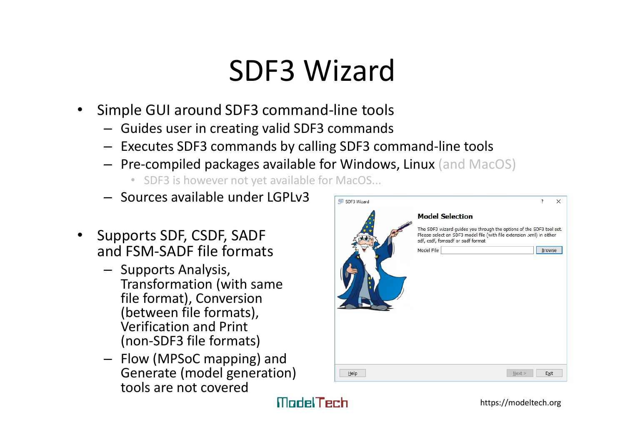### SDF3 Wizard

- Simple GUI around SDF3 command-line tools
	- Guides user in creating valid SDF3 commands
	- Executes SDF3 commands by calling SDF3 command-line tools
	- Pre-compiled packages available for Windows, Linux (and MacOS)
		- SDF3 is however not yet available for MacOS...
	- Sources available under LGPLv3
- Supports SDF, CSDF, SADF and FSM-SADF file formats
	- Supports Analysis, Transformation (with same file format), Conversion (between file formats), Verification and Print (non-SDF3 file formats)
	- Flow (MPSoC mapping) and Generate (model generation) tools are not covered

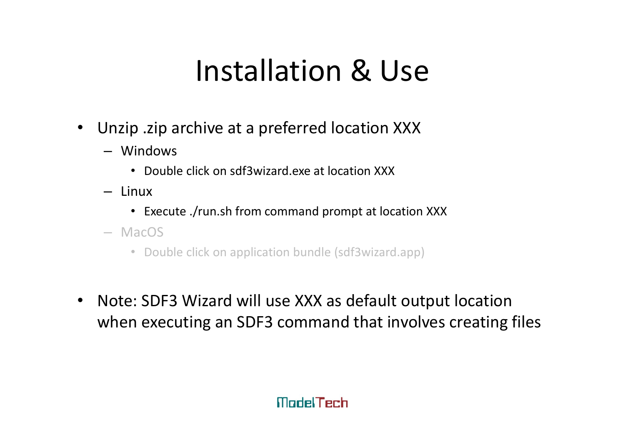# Installation & Use

- Unzip .zip archive at a preferred location XXX
	- Windows
		- Double click on sdf3wizard.exe at location XXX
	- Linux
		- Execute ./run.sh from command prompt at location XXX
	- MacOS
		- Double click on application bundle (sdf3wizard.app)
- Note: SDF3 Wizard will use XXX as default output location when executing an SDF3 command that involves creating files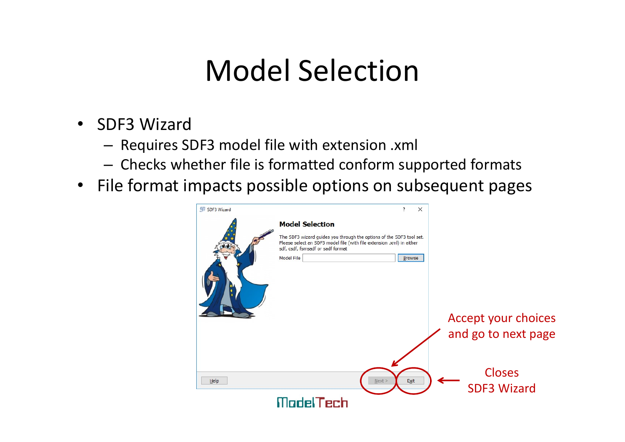### Model Selection

- SDF3 Wizard
	- Requires SDF3 model file with extension .xml
	- Checks whether file is formatted conform supported formats
- File format impacts possible options on subsequent pages

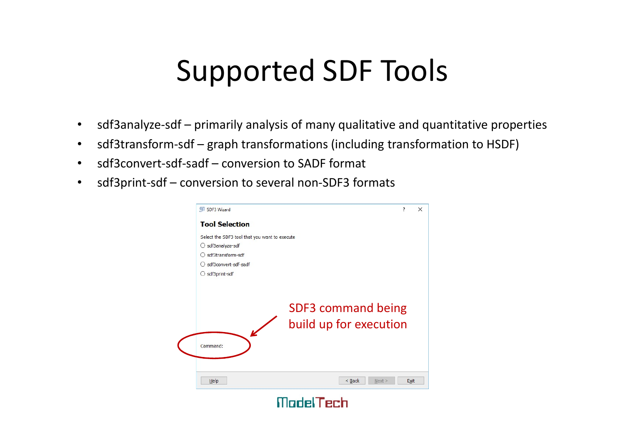# Supported SDF Tools **Supported SDF Tools**<br>• sdf3analyze-sdf – primarily analysis of many qualitative and quantitative properties<br>• sdf3transform-sdf – graph transformations (including transformation to HSDF)<br>• sdf3convert-sdf-sadf – conversio **Supported SDF Tools**<br>• sdf3analyze-sdf – primarily analysis of many qualitative and quantitative properties<br>• sdf3transform-sdf – graph transformations (including transformation to HSDF)<br>• sdf3convert-sdf-sadf – conversio **Supported SDF Tools**<br>• sdf3analyze-sdf – primarily analysis of many qualitative and quantita<br>• sdf3transform-sdf – graph transformations (including transformation<br>• sdf3print-sdf – conversion to several non-SDF3 formats

- 
- 
- 
- 

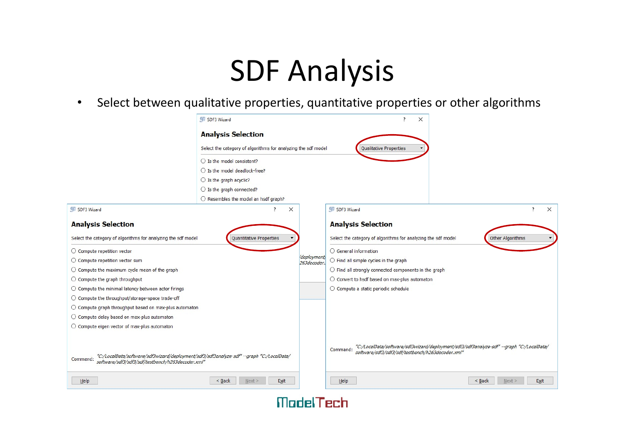# SDF Analysis

• Select between qualitative properties, quantitative properties or other algorithms

|                                                                                                                                                            | SDF3 Wizard                                   |                                                                                                                                                            | $\times$                                                                          |
|------------------------------------------------------------------------------------------------------------------------------------------------------------|-----------------------------------------------|------------------------------------------------------------------------------------------------------------------------------------------------------------|-----------------------------------------------------------------------------------|
| <b>Analysis Selection</b>                                                                                                                                  |                                               |                                                                                                                                                            |                                                                                   |
| Select the category of algorithms for analyzing the sdf model                                                                                              |                                               |                                                                                                                                                            | <b>Qualitative Properties</b>                                                     |
| $\bigcirc$ Is the model consistent?                                                                                                                        |                                               |                                                                                                                                                            |                                                                                   |
| $\bigcirc$ Is the model deadlock-free?                                                                                                                     |                                               |                                                                                                                                                            |                                                                                   |
| $\bigcirc$ Is the graph acyclic?                                                                                                                           |                                               |                                                                                                                                                            |                                                                                   |
|                                                                                                                                                            | $\bigcirc$ Is the graph connected?            |                                                                                                                                                            |                                                                                   |
|                                                                                                                                                            | $\bigcirc$ Resembles the model an hsdf graph? |                                                                                                                                                            |                                                                                   |
| <b>VR</b> SDF3 Wizard                                                                                                                                      | $\times$                                      |                                                                                                                                                            | <b>VIB</b> SDF3 Wizard<br>$\times$                                                |
| <b>Analysis Selection</b>                                                                                                                                  |                                               |                                                                                                                                                            | <b>Analysis Selection</b>                                                         |
| Select the category of algorithms for analyzing the sdf model<br><b>Quantitative Properties</b>                                                            |                                               |                                                                                                                                                            | Select the category of algorithms for analyzing the sdf model<br>Other Algorithms |
| ○ Compute repetition vector                                                                                                                                |                                               |                                                                                                                                                            | $\bigcirc$ General information                                                    |
| $\bigcirc$ Compute repetition vector sum                                                                                                                   |                                               | deployment)<br>263decoder.                                                                                                                                 | $\bigcirc$ Find all simple cycles in the graph                                    |
| $\bigcirc$ Compute the maximum cycle mean of the graph                                                                                                     |                                               |                                                                                                                                                            | $\bigcirc$ Find all strongly connected components in the graph                    |
| $\bigcirc$ Compute the graph throughput                                                                                                                    |                                               |                                                                                                                                                            | $\bigcirc$ Convert to hsdf based on max-plus automaton                            |
| $\bigcirc$ Compute the minimal latency between actor firings                                                                                               |                                               |                                                                                                                                                            | ○ Compute a static periodic schedule                                              |
| ◯ Compute the throughput/storage-space trade-off                                                                                                           |                                               |                                                                                                                                                            |                                                                                   |
| $\bigcirc$ Compute graph throughput based on max-plus automaton                                                                                            |                                               |                                                                                                                                                            |                                                                                   |
| $\bigcirc$ Compute delay based on max-plus automaton                                                                                                       |                                               |                                                                                                                                                            |                                                                                   |
| $\bigcirc$ Compute eigen vector of max-plus automaton                                                                                                      |                                               |                                                                                                                                                            |                                                                                   |
| "C:/LocalData/software/sdf3wizard/deployment/sdf3/sdf3analyze-sdf" --graph "C:/LocalData/<br>Command:<br>software/sdf3/sdf3/sdf/testbench/h263decoder.xml" |                                               | "C:/LocalData/software/sdf3wizard/deployment/sdf3/sdf3analyze-sdf" --graph "C:/LocalData/<br>software/sdf3/sdf3/sdf/testbench/h263decoder.xml"<br>Command: |                                                                                   |
| Help                                                                                                                                                       | $<$ Back<br>Next ><br>Exit                    |                                                                                                                                                            | $<$ Back<br>Help<br>Next ><br>Exit                                                |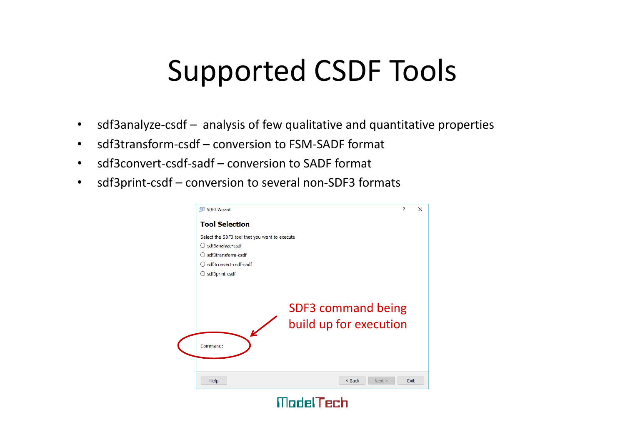# Supported CSDF Tools **Supported CSDF Tools**<br>• sdf3analyze-csdf – analysis of few qualitative and quantitative properties<br>• sdf3transform-csdf – conversion to FSM-SADF format<br>• sdf3convert-csdf-sadf – conversion to SADF format Supported CSDF Tools<br>• sdf3analyze-csdf – analysis of few qualitative and quantitative prop<br>• sdf3transform-csdf – conversion to FSM-SADF format<br>• sdf3print-csdf – conversion to several non-SDF3 formats **Supported CSDF Tools**<br>• sdf3analyze-csdf – analysis of few qualitative and quantitative prope<br>• sdf3transform-csdf – conversion to FSM-SADF format<br>• sdf3print-csdf – conversion to several non-SDF3 formats

- 
- 
- 
- 

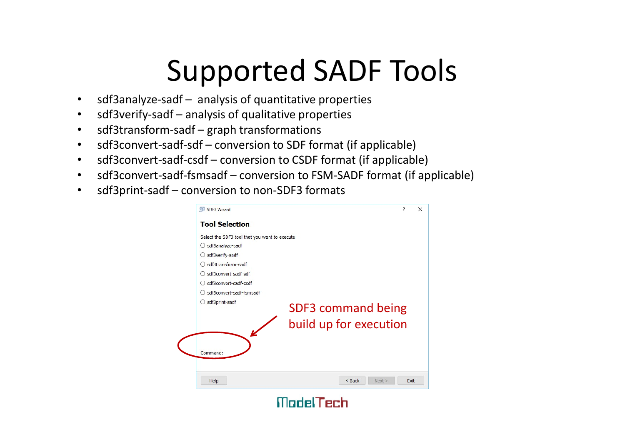# Supported SADF Tools **Supported SADF Tools**<br>• sdf3analyze-sadf – analysis of quantitative properties<br>• sdf3verify-sadf – analysis of qualitative properties<br>• sdf3transform-sadf – graph transformations<br>• sdf3convert-sadf-sdf – conversion to SDF **Supported SADF Tool**<br>• sdf3analyze-sadf – analysis of quantitative properties<br>• sdf3verify-sadf – analysis of qualitative properties<br>• sdf3transform-sadf – graph transformations<br>• sdf3convert-sadf-sdf – conversion to SDF **Supported SADF Tools**<br>• sdf3analyze-sadf – analysis of quantitative properties<br>• sdf3verify-sadf – analysis of qualitative properties<br>• sdf3transform-sadf – graph transformations<br>• sdf3convert-sadf-cadf – conversion to SD

- 
- 
- 
- 
- 
- 
- 

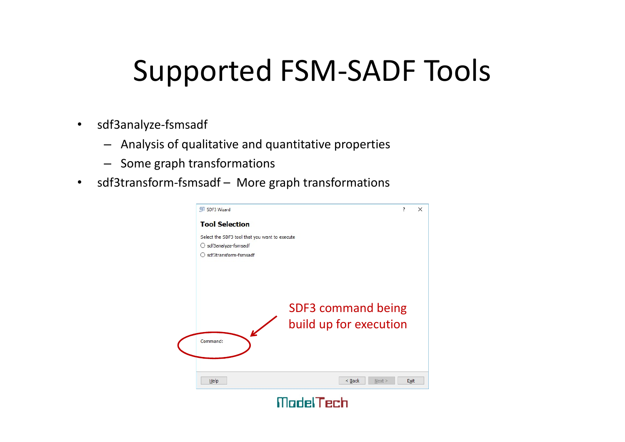# Supported FSM-SADF Tools **Supported FSM-SADF Tool**<br>
• sdf3analyze-fsmsadf<br>
– Analysis of qualitative and quantitative properties<br>
– Some graph transformations<br>
• sdf3transform-fsmsadf – More graph transformations<br>
• sdf3transform-fsmsadf – More gr

- sdf3analyze-fsmsadf
	- Analysis of qualitative and quantitative properties
	- Some graph transformations
-